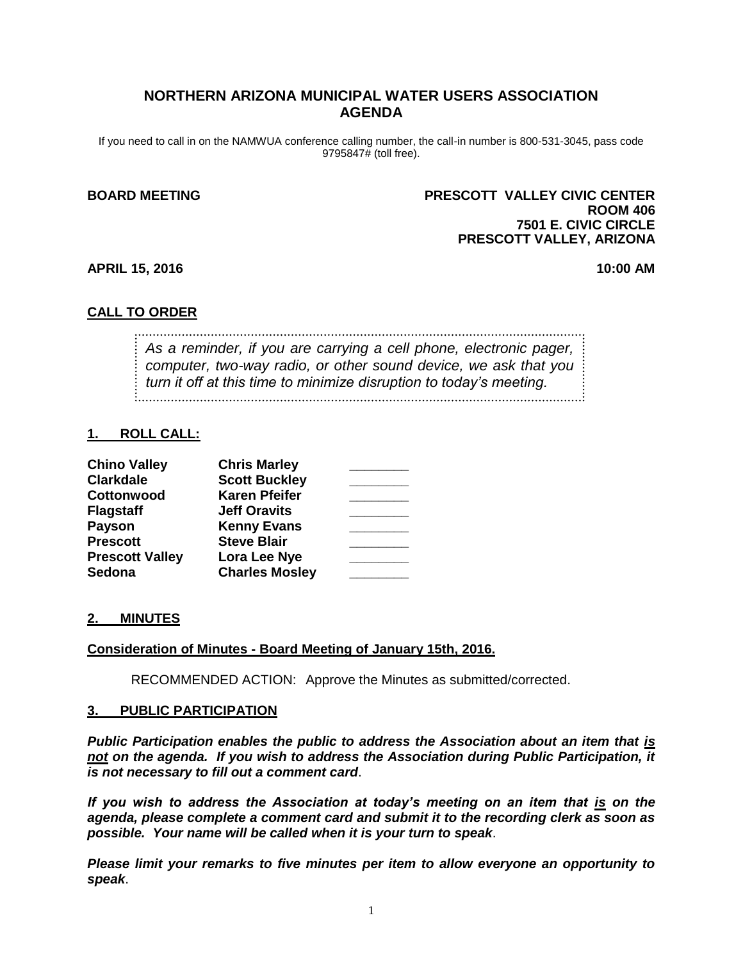# **NORTHERN ARIZONA MUNICIPAL WATER USERS ASSOCIATION AGENDA**

If you need to call in on the NAMWUA conference calling number, the call-in number is 800-531-3045, pass code 9795847# (toll free).

## **BOARD MEETING PRESCOTT VALLEY CIVIC CENTER ROOM 406 7501 E. CIVIC CIRCLE PRESCOTT VALLEY, ARIZONA**

**APRIL 15, 2016 10:00 AM**

## **CALL TO ORDER**

*As a reminder, if you are carrying a cell phone, electronic pager, computer, two-way radio, or other sound device, we ask that you turn it off at this time to minimize disruption to today's meeting.*

## **1. ROLL CALL:**

| <b>Chino Valley</b>    | <b>Chris Marley</b>   |  |
|------------------------|-----------------------|--|
| <b>Clarkdale</b>       | <b>Scott Buckley</b>  |  |
| Cottonwood             | <b>Karen Pfeifer</b>  |  |
| <b>Flagstaff</b>       | <b>Jeff Oravits</b>   |  |
| <b>Payson</b>          | <b>Kenny Evans</b>    |  |
| <b>Prescott</b>        | <b>Steve Blair</b>    |  |
| <b>Prescott Valley</b> | Lora Lee Nye          |  |
| Sedona                 | <b>Charles Mosley</b> |  |

## **2. MINUTES**

## **Consideration of Minutes - Board Meeting of January 15th, 2016.**

RECOMMENDED ACTION: Approve the Minutes as submitted/corrected.

#### **3. PUBLIC PARTICIPATION**

*Public Participation enables the public to address the Association about an item that is not on the agenda. If you wish to address the Association during Public Participation, it is not necessary to fill out a comment card*.

*If you wish to address the Association at today's meeting on an item that is on the agenda, please complete a comment card and submit it to the recording clerk as soon as possible. Your name will be called when it is your turn to speak*.

*Please limit your remarks to five minutes per item to allow everyone an opportunity to speak*.